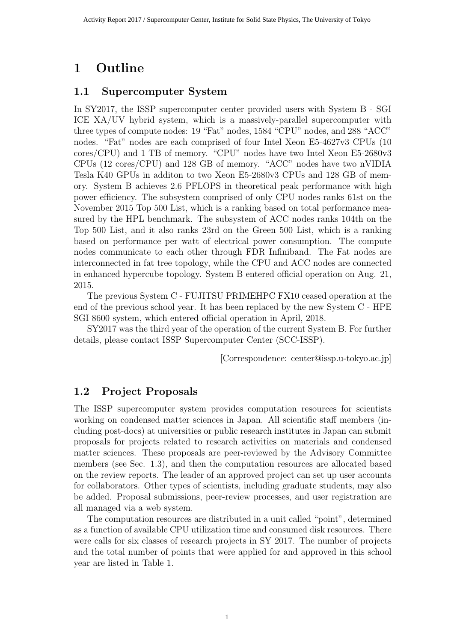# **1 Outline**

#### **1.1 Supercomputer System**

In SY2017, the ISSP supercomputer center provided users with System B - SGI ICE XA/UV hybrid system, which is a massively-parallel supercomputer with three types of compute nodes: 19 "Fat" nodes, 1584 "CPU" nodes, and 288 "ACC" nodes. "Fat" nodes are each comprised of four Intel Xeon E5-4627v3 CPUs (10 cores/CPU) and 1 TB of memory. "CPU" nodes have two Intel Xeon E5-2680v3 CPUs (12 cores/CPU) and 128 GB of memory. "ACC" nodes have two nVIDIA Tesla K40 GPUs in additon to two Xeon E5-2680v3 CPUs and 128 GB of memory. System B achieves 2.6 PFLOPS in theoretical peak performance with high power efficiency. The subsystem comprised of only CPU nodes ranks 61st on the November 2015 Top 500 List, which is a ranking based on total performance measured by the HPL benchmark. The subsystem of ACC nodes ranks 104th on the Top 500 List, and it also ranks 23rd on the Green 500 List, which is a ranking based on performance per watt of electrical power consumption. The compute nodes communicate to each other through FDR Infiniband. The Fat nodes are interconnected in fat tree topology, while the CPU and ACC nodes are connected in enhanced hypercube topology. System B entered official operation on Aug. 21, 2015.

The previous System C - FUJITSU PRIMEHPC FX10 ceased operation at the end of the previous school year. It has been replaced by the new System C - HPE SGI 8600 system, which entered official operation in April, 2018.

SY2017 was the third year of the operation of the current System B. For further details, please contact ISSP Supercomputer Center (SCC-ISSP).

[Correspondence: center@issp.u-tokyo.ac.jp]

#### **1.2 Project Proposals**

The ISSP supercomputer system provides computation resources for scientists working on condensed matter sciences in Japan. All scientific staff members (including post-docs) at universities or public research institutes in Japan can submit proposals for projects related to research activities on materials and condensed matter sciences. These proposals are peer-reviewed by the Advisory Committee members (see Sec. 1.3), and then the computation resources are allocated based on the review reports. The leader of an approved project can set up user accounts for collaborators. Other types of scientists, including graduate students, may also be added. Proposal submissions, peer-review processes, and user registration are all managed via a web system.

The computation resources are distributed in a unit called "point", determined as a function of available CPU utilization time and consumed disk resources. There were calls for six classes of research projects in SY 2017. The number of projects and the total number of points that were applied for and approved in this school year are listed in Table 1.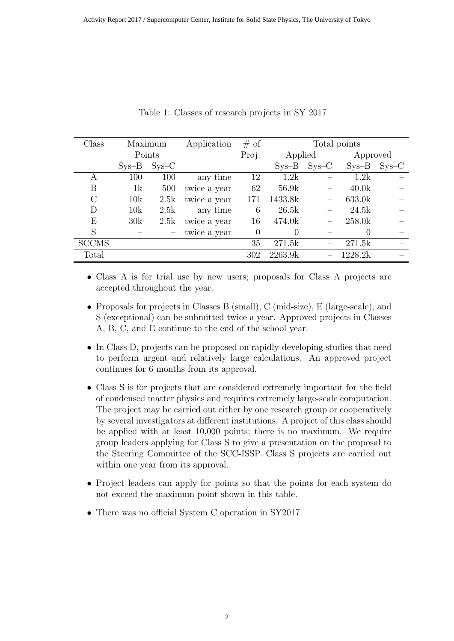| Class        |         | Maximum | Application  | # of  | Total points        |         |                  |         |
|--------------|---------|---------|--------------|-------|---------------------|---------|------------------|---------|
|              | Points  |         |              | Proj. | Applied<br>Approved |         |                  |         |
|              | $Sys-B$ | $SYS-C$ |              |       | $Sys-B$             | $SYS-C$ | $Sys-B$          | $SVS-C$ |
| А            | 100     | 100     | any time     | 12    | 1.2k                |         | 1.2k             |         |
| B            | 1k      | 500     | twice a year | 62    | 56.9k               |         | 40.0k            |         |
| С            | 10k     | 2.5k    | twice a year | 171   | 1433.8k             |         | 633.0k           |         |
| D            | 10k     | 2.5k    | any time     | 6     | 26.5k               |         | 24.5k            |         |
| Е            | 30k     | 2.5k    | twice a year | 16    | 474.0k              |         | 258.0k           |         |
| S            |         |         | twice a year | 0     | $\theta$            |         | $\left( \right)$ |         |
| <b>SCCMS</b> |         |         |              | 35    | 271.5k              |         | 271.5k           |         |
| Total        |         |         |              | 302   | 2263.9k             |         | 1228.2k          |         |

Table 1: Classes of research projects in SY 2017

*•* Class A is for trial use by new users; proposals for Class A projects are accepted throughout the year.

- *•* Proposals for projects in Classes B (small), C (mid-size), E (large-scale), and S (exceptional) can be submitted twice a year. Approved projects in Classes A, B, C, and E continue to the end of the school year.
- In Class D, projects can be proposed on rapidly-developing studies that need to perform urgent and relatively large calculations. An approved project continues for 6 months from its approval.
- *•* Class S is for projects that are considered extremely important for the field of condensed matter physics and requires extremely large-scale computation. The project may be carried out either by one research group or cooperatively by several investigators at different institutions. A project of this class should be applied with at least 10,000 points; there is no maximum. We require group leaders applying for Class S to give a presentation on the proposal to the Steering Committee of the SCC-ISSP. Class S projects are carried out within one year from its approval.
- Project leaders can apply for points so that the points for each system do not exceed the maximum point shown in this table.
- There was no official System C operation in SY2017.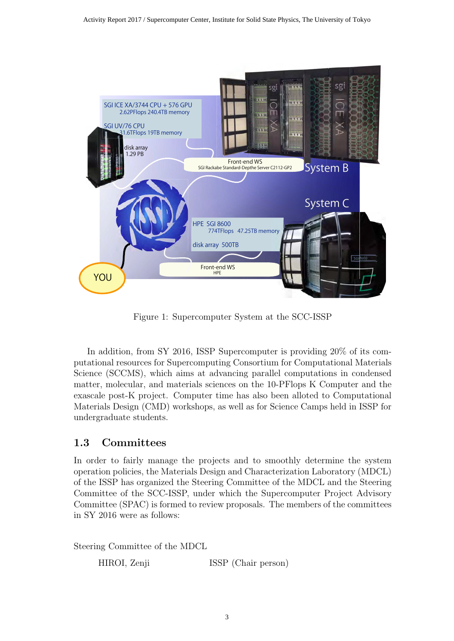

Figure 1: Supercomputer System at the SCC-ISSP

In addition, from SY 2016, ISSP Supercomputer is providing 20% of its computational resources for Supercomputing Consortium for Computational Materials Science (SCCMS), which aims at advancing parallel computations in condensed matter, molecular, and materials sciences on the 10-PFlops K Computer and the exascale post-K project. Computer time has also been alloted to Computational Materials Design (CMD) workshops, as well as for Science Camps held in ISSP for undergraduate students.

# **1.3 Committees**

In order to fairly manage the projects and to smoothly determine the system operation policies, the Materials Design and Characterization Laboratory (MDCL) of the ISSP has organized the Steering Committee of the MDCL and the Steering Committee of the SCC-ISSP, under which the Supercomputer Project Advisory Committee (SPAC) is formed to review proposals. The members of the committees in SY 2016 were as follows:

Steering Committee of the MDCL

HIROI, Zenji ISSP (Chair person)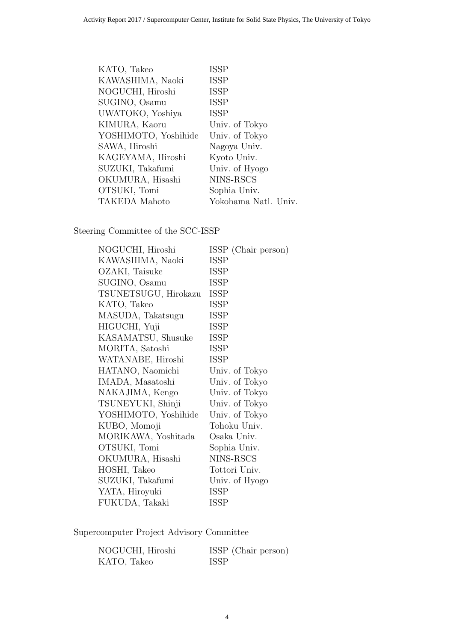| KATO, Takeo          | <b>ISSP</b>          |
|----------------------|----------------------|
| KAWASHIMA, Naoki     | <b>ISSP</b>          |
| NOGUCHI, Hiroshi     | <b>ISSP</b>          |
| SUGINO, Osamu        | <b>ISSP</b>          |
| UWATOKO, Yoshiya     | <b>ISSP</b>          |
| KIMURA, Kaoru        | Univ. of Tokyo       |
| YOSHIMOTO, Yoshihide | Univ. of Tokyo       |
| SAWA, Hiroshi        | Nagoya Univ.         |
| KAGEYAMA, Hiroshi    | Kyoto Univ.          |
| SUZUKI, Takafumi     | Univ. of Hyogo       |
| OKUMURA, Hisashi     | NINS-RSCS            |
| OTSUKI, Tomi         | Sophia Univ.         |
| <b>TAKEDA</b> Mahoto | Yokohama Natl. Univ. |

Steering Committee of the SCC-ISSP

| NOGUCHI, Hiroshi     | ISSP (Chair person) |
|----------------------|---------------------|
| KAWASHIMA, Naoki     | <b>ISSP</b>         |
| OZAKI, Taisuke       | <b>ISSP</b>         |
| SUGINO, Osamu        | <b>ISSP</b>         |
| TSUNETSUGU, Hirokazu | <b>ISSP</b>         |
| KATO, Takeo          | ISSP                |
| MASUDA, Takatsugu    | <b>ISSP</b>         |
| HIGUCHI, Yuji        | <b>ISSP</b>         |
| KASAMATSU, Shusuke   | ISSP                |
| MORITA, Satoshi      | <b>ISSP</b>         |
| WATANABE, Hiroshi    | <b>ISSP</b>         |
| HATANO, Naomichi     | Univ. of Tokyo      |
| IMADA, Masatoshi     | Univ. of Tokyo      |
| NAKAJIMA, Kengo      | Univ. of Tokyo      |
| TSUNEYUKI, Shinji    | Univ. of Tokyo      |
| YOSHIMOTO, Yoshihide | Univ. of Tokyo      |
| KUBO, Momoji         | Tohoku Univ.        |
| MORIKAWA, Yoshitada  | Osaka Univ.         |
| OTSUKI, Tomi         | Sophia Univ.        |
| OKUMURA, Hisashi     | NINS-RSCS           |
| HOSHI, Takeo         | Tottori Univ.       |
| SUZUKI, Takafumi     | Univ. of Hyogo      |
| YATA, Hiroyuki       | ISSP                |
| FUKUDA, Takaki       | <b>ISSP</b>         |

Supercomputer Project Advisory Committee

| NOGUCHI, Hiroshi | ISSP (Chair person) |
|------------------|---------------------|
| KATO, Takeo      | <b>ISSP</b>         |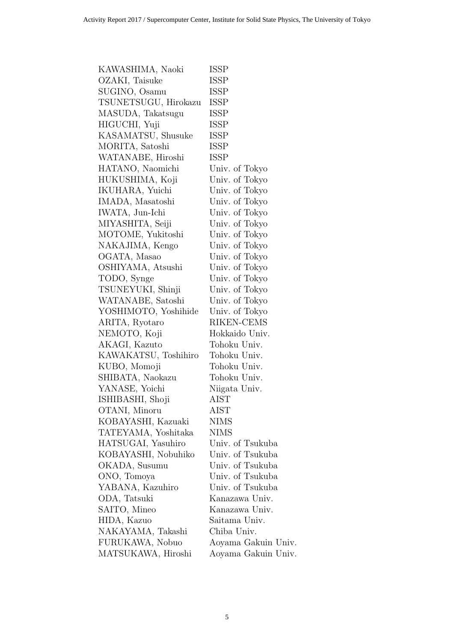| KAWASHIMA, Naoki     | <b>ISSP</b>         |
|----------------------|---------------------|
| OZAKI, Taisuke       | <b>ISSP</b>         |
| SUGINO, Osamu        | <b>ISSP</b>         |
| TSUNETSUGU, Hirokazu | <b>ISSP</b>         |
| MASUDA, Takatsugu    | ISSP                |
| HIGUCHI, Yuji        | <b>ISSP</b>         |
| KASAMATSU, Shusuke   | <b>ISSP</b>         |
| MORITA, Satoshi      | <b>ISSP</b>         |
| WATANABE, Hiroshi    | <b>ISSP</b>         |
| HATANO, Naomichi     | Univ. of Tokyo      |
| HUKUSHIMA, Koji      | Univ. of Tokyo      |
| IKUHARA, Yuichi      | Univ. of Tokyo      |
| IMADA, Masatoshi     | Univ. of Tokyo      |
| IWATA, Jun-Ichi      | Univ. of Tokyo      |
| MIYASHITA, Seiji     | Univ. of Tokyo      |
| MOTOME, Yukitoshi    | Univ. of Tokyo      |
| NAKAJIMA, Kengo      | Univ. of Tokyo      |
| OGATA, Masao         | Univ. of Tokyo      |
| OSHIYAMA, Atsushi    | Univ. of Tokyo      |
| TODO, Synge          | Univ. of Tokyo      |
| TSUNEYUKI, Shinji    | Univ. of Tokyo      |
| WATANABE, Satoshi    | Univ. of Tokyo      |
| YOSHIMOTO, Yoshihide | Univ. of Tokyo      |
| ARITA, Ryotaro       | RIKEN-CEMS          |
| NEMOTO, Koji         | Hokkaido Univ.      |
| AKAGI, Kazuto        | Tohoku Univ.        |
| KAWAKATSU, Toshihiro | Tohoku Univ.        |
| KUBO, Momoji         | Tohoku Univ.        |
| SHIBATA, Naokazu     | Tohoku Univ.        |
| YANASE, Yoichi       | Niigata Univ.       |
| ISHIBASHI, Shoji     | ${\rm AIST}$        |
| OTANI, Minoru        | AIST                |
| KOBAYASHI, Kazuaki   | <b>NIMS</b>         |
| TATEYAMA, Yoshitaka  | <b>NIMS</b>         |
| HATSUGAI, Yasuhiro   | Univ. of Tsukuba    |
| KOBAYASHI, Nobuhiko  | Univ. of Tsukuba    |
| OKADA, Susumu        | Univ. of Tsukuba    |
| ONO, Tomoya          | Univ. of Tsukuba    |
| YABANA, Kazuhiro     | Univ. of Tsukuba    |
| ODA, Tatsuki         | Kanazawa Univ.      |
| SAITO, Mineo         | Kanazawa Univ.      |
| HIDA, Kazuo          | Saitama Univ.       |
| NAKAYAMA, Takashi    | Chiba Univ.         |
| FURUKAWA, Nobuo      | Aoyama Gakuin Univ. |
| MATSUKAWA, Hiroshi   | Aoyama Gakuin Univ. |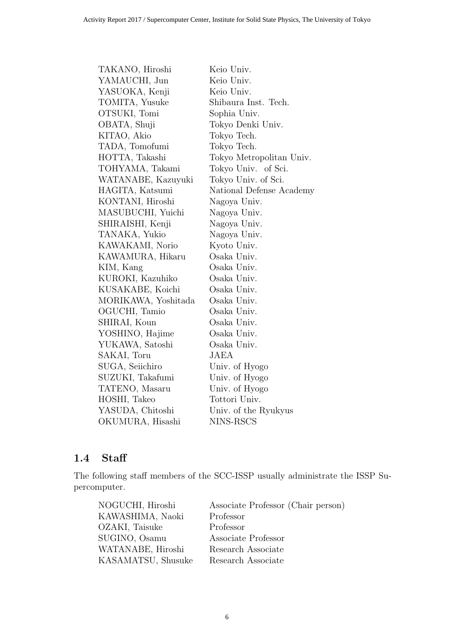| TAKANO, Hiroshi     | Keio Univ.               |
|---------------------|--------------------------|
| YAMAUCHI, Jun       | Keio Univ.               |
| YASUOKA, Kenji      | Keio Univ.               |
| TOMITA, Yusuke      | Shibaura Inst. Tech.     |
| OTSUKI, Tomi        | Sophia Univ.             |
| OBATA, Shuji        | Tokyo Denki Univ.        |
| KITAO, Akio         | Tokyo Tech.              |
| TADA, Tomofumi      | Tokyo Tech.              |
| HOTTA, Takashi      | Tokyo Metropolitan Univ. |
| TOHYAMA, Takami     | Tokyo Univ. of Sci.      |
| WATANABE, Kazuyuki  | Tokyo Univ. of Sci.      |
| HAGITA, Katsumi     | National Defense Academy |
| KONTANI, Hiroshi    | Nagoya Univ.             |
| MASUBUCHI, Yuichi   | Nagoya Univ.             |
| SHIRAISHI, Kenji    | Nagoya Univ.             |
| TANAKA, Yukio       | Nagoya Univ.             |
| KAWAKAMI, Norio     | Kyoto Univ.              |
| KAWAMURA, Hikaru    | Osaka Univ.              |
| KIM, Kang           | Osaka Univ.              |
| KUROKI, Kazuhiko    | Osaka Univ.              |
| KUSAKABE, Koichi    | Osaka Univ.              |
| MORIKAWA, Yoshitada | Osaka Univ.              |
| OGUCHI, Tamio       | Osaka Univ.              |
| SHIRAI, Koun        | Osaka Univ.              |
| YOSHINO, Hajime     | Osaka Univ.              |
| YUKAWA, Satoshi     | Osaka Univ.              |
| SAKAI, Toru         | JAEA                     |
| SUGA, Seiichiro     | Univ. of Hyogo           |
| SUZUKI, Takafumi    | Univ. of Hyogo           |
| TATENO, Masaru      | Univ. of Hyogo           |
| HOSHI, Takeo        | Tottori Univ.            |
| YASUDA, Chitoshi    | Univ. of the Ryukyus     |
| OKUMURA, Hisashi    | NINS-RSCS                |

### **1.4 Staff**

The following staff members of the SCC-ISSP usually administrate the ISSP Supercomputer.

| Associate Professor (Chair person) |
|------------------------------------|
| Professor                          |
| Professor                          |
| Associate Professor                |
| Research Associate                 |
| Research Associate                 |
|                                    |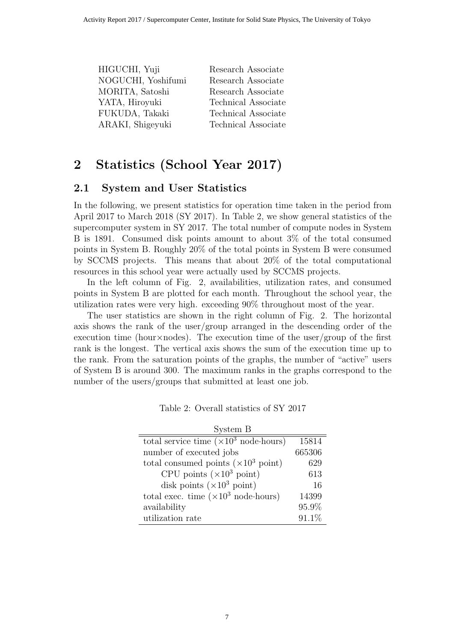| HIGUCHI, Yuji      | Research Associate  |
|--------------------|---------------------|
| NOGUCHI, Yoshifumi | Research Associate  |
| MORITA, Satoshi    | Research Associate  |
| YATA, Hiroyuki     | Technical Associate |
| FUKUDA, Takaki     | Technical Associate |
| ARAKI, Shigeyuki   | Technical Associate |
|                    |                     |

# **2 Statistics (School Year 2017)**

#### **2.1 System and User Statistics**

In the following, we present statistics for operation time taken in the period from April 2017 to March 2018 (SY 2017). In Table 2, we show general statistics of the supercomputer system in SY 2017. The total number of compute nodes in System B is 1891. Consumed disk points amount to about 3% of the total consumed points in System B. Roughly 20% of the total points in System B were consumed by SCCMS projects. This means that about 20% of the total computational resources in this school year were actually used by SCCMS projects.

In the left column of Fig. 2, availabilities, utilization rates, and consumed points in System B are plotted for each month. Throughout the school year, the utilization rates were very high. exceeding 90% throughout most of the year.

The user statistics are shown in the right column of Fig. 2. The horizontal axis shows the rank of the user/group arranged in the descending order of the execution time (hour*×*nodes). The execution time of the user/group of the first rank is the longest. The vertical axis shows the sum of the execution time up to the rank. From the saturation points of the graphs, the number of "active" users of System B is around 300. The maximum ranks in the graphs correspond to the number of the users/groups that submitted at least one job.

| System B                                              |          |
|-------------------------------------------------------|----------|
| total service time $(\times 10^3 \text{ node-hours})$ | 15814    |
| number of executed jobs                               | 665306   |
| total consumed points $(\times 10^3 \text{ point})$   | 629      |
| CPU points $(\times 10^3 \text{ point})$              | 613      |
| disk points $(\times 10^3 \text{ point})$             | 16       |
| total exec. time $(\times 10^3 \text{ node-hours})$   | 14399    |
| availability                                          | 95.9%    |
| utilization rate                                      | $91.1\%$ |

Table 2: Overall statistics of SY 2017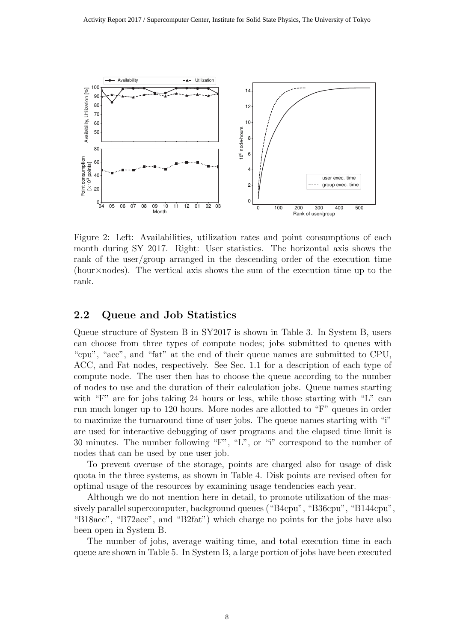

Figure 2: Left: Availabilities, utilization rates and point consumptions of each month during SY 2017. Right: User statistics. The horizontal axis shows the rank of the user/group arranged in the descending order of the execution time (hour*×*nodes). The vertical axis shows the sum of the execution time up to the rank.

#### **2.2 Queue and Job Statistics**

Queue structure of System B in SY2017 is shown in Table 3. In System B, users can choose from three types of compute nodes; jobs submitted to queues with "cpu", "acc", and "fat" at the end of their queue names are submitted to CPU, ACC, and Fat nodes, respectively. See Sec. 1.1 for a description of each type of compute node. The user then has to choose the queue according to the number of nodes to use and the duration of their calculation jobs. Queue names starting with "F" are for jobs taking 24 hours or less, while those starting with "L" can run much longer up to 120 hours. More nodes are allotted to "F" queues in order to maximize the turnaround time of user jobs. The queue names starting with "i" are used for interactive debugging of user programs and the elapsed time limit is 30 minutes. The number following "F", "L", or "i" correspond to the number of nodes that can be used by one user job.

To prevent overuse of the storage, points are charged also for usage of disk quota in the three systems, as shown in Table 4. Disk points are revised often for optimal usage of the resources by examining usage tendencies each year.

Although we do not mention here in detail, to promote utilization of the massively parallel supercomputer, background queues ("B4cpu", "B36cpu", "B144cpu", "B18acc", "B72acc", and "B2fat") which charge no points for the jobs have also been open in System B.

The number of jobs, average waiting time, and total execution time in each queue are shown in Table 5. In System B, a large portion of jobs have been executed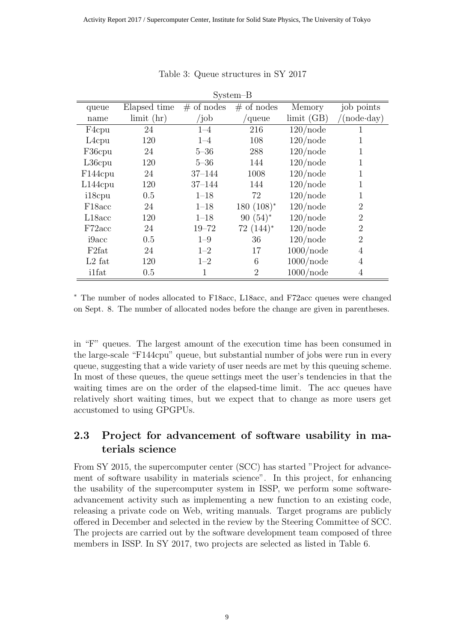| $System-B$          |                  |               |                |                      |                     |  |
|---------------------|------------------|---------------|----------------|----------------------|---------------------|--|
| queue               | Elapsed time     | $#$ of nodes  | $#$ of nodes   | Memory               | job points          |  |
| name                | $\lim$ it $(hr)$ | /job          | queue          | limit(GB)            | $(\text{node-day})$ |  |
| F <sub>4</sub> cpu  | 24               | $1 - 4$       | 216            | $120$ /node          |                     |  |
| L <sub>4</sub> cpu  | 120              | $1 - 4$       | 108            | $120$ /node          | 1                   |  |
| F36cpu              | 24               | $5 - 36$      | 288            | $120$ /node          | 1                   |  |
| $L36$ cpu           | 120              | $5 - 36$      | 144            | $120$ /node          | 1                   |  |
| F144cpu             | 24               | $37 - 144$    | 1008           | $120$ /node          | 1                   |  |
| $L144$ cpu          | 120              | $37 - 144$    | 144            | $120$ /node          | 1                   |  |
| i18cpu              | 0.5              | $1 - 18$      | 72             | $120$ /node          | 1                   |  |
| F <sub>18</sub> acc | 24               | $1 - 18$      | $180(108)^*$   | $120$ /node          | $\overline{2}$      |  |
| L18acc              | 120              | $1 - 18$      | $90(54)^*$     | $120$ /node          | $\overline{2}$      |  |
| F72acc              | 24               | $19 - 72$     | $72(144)^*$    | $120$ /node          | $\overline{2}$      |  |
| i9acc               | 0.5              | $1 - 9$       | 36             | $120$ /node          | $\overline{2}$      |  |
| F <sub>2</sub> fat  | 24               | $1 - 2$       | 17             | $1000$ /node         | 4                   |  |
| $L2$ fat            | 120              | $1\hbox{--}2$ | 6              | $1000$ /node         | $\overline{4}$      |  |
| <i>i</i> 1fat       | 0.5              | 1             | $\overline{2}$ | $1000/\mathrm{node}$ | $\overline{4}$      |  |

#### Table 3: Queue structures in SY 2017

*∗* The number of nodes allocated to F18acc, L18acc, and F72acc queues were changed on Sept. 8. The number of allocated nodes before the change are given in parentheses.

in "F" queues. The largest amount of the execution time has been consumed in the large-scale "F144cpu" queue, but substantial number of jobs were run in every queue, suggesting that a wide variety of user needs are met by this queuing scheme. In most of these queues, the queue settings meet the user's tendencies in that the waiting times are on the order of the elapsed-time limit. The acc queues have relatively short waiting times, but we expect that to change as more users get accustomed to using GPGPUs.

# **2.3 Project for advancement of software usability in materials science**

From SY 2015, the supercomputer center (SCC) has started "Project for advancement of software usability in materials science". In this project, for enhancing the usability of the supercomputer system in ISSP, we perform some softwareadvancement activity such as implementing a new function to an existing code, releasing a private code on Web, writing manuals. Target programs are publicly offered in December and selected in the review by the Steering Committee of SCC. The projects are carried out by the software development team composed of three members in ISSP. In SY 2017, two projects are selected as listed in Table 6.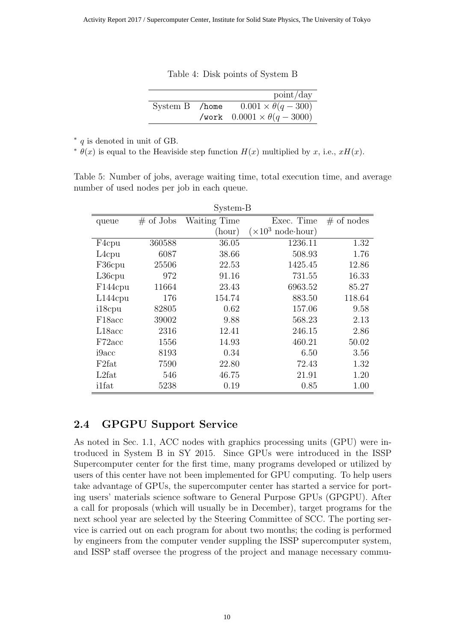Table 4: Disk points of System B

|                | point/day                              |
|----------------|----------------------------------------|
| System B /home | $0.001 \times \theta(q-300)$           |
|                | /work $0.0001 \times \theta(q - 3000)$ |

*∗ q* is denoted in unit of GB.

 $\theta(x)$  is equal to the Heaviside step function  $H(x)$  multiplied by *x*, i.e.,  $xH(x)$ .

Table 5: Number of jobs, average waiting time, total execution time, and average number of used nodes per job in each queue.

| System-B             |              |              |                                   |              |  |
|----------------------|--------------|--------------|-----------------------------------|--------------|--|
| queue                | $\#$ of Jobs | Waiting Time | Exec. Time                        | $#$ of nodes |  |
|                      |              | (hour)       | $(\times 10^3 \text{ node-hour})$ |              |  |
| F4cpu                | 360588       | 36.05        | 1236.11                           | 1.32         |  |
| L <sub>4</sub> cpu   | 6087         | 38.66        | 508.93                            | 1.76         |  |
| F36cpu               | 25506        | 22.53        | 1425.45                           | 12.86        |  |
| $L36$ cpu            | 972          | 91.16        | 731.55                            | 16.33        |  |
| F <sub>144</sub> cpu | 11664        | 23.43        | 6963.52                           | 85.27        |  |
| $L144$ cpu           | 176          | 154.74       | 883.50                            | 118.64       |  |
| i18cpu               | 82805        | 0.62         | 157.06                            | 9.58         |  |
| F <sub>18</sub> acc  | 39002        | 9.88         | 568.23                            | 2.13         |  |
| L18acc               | 2316         | 12.41        | 246.15                            | 2.86         |  |
| F72acc               | 1556         | 14.93        | 460.21                            | 50.02        |  |
| i9acc                | 8193         | 0.34         | 6.50                              | 3.56         |  |
| F <sub>2</sub> fat   | 7590         | 22.80        | 72.43                             | 1.32         |  |
| L2fat                | 546          | 46.75        | 21.91                             | 1.20         |  |
| i1fat                | 5238         | 0.19         | 0.85                              | 1.00         |  |

# **2.4 GPGPU Support Service**

As noted in Sec. 1.1, ACC nodes with graphics processing units (GPU) were introduced in System B in SY 2015. Since GPUs were introduced in the ISSP Supercomputer center for the first time, many programs developed or utilized by users of this center have not been implemented for GPU computing. To help users take advantage of GPUs, the supercomputer center has started a service for porting users' materials science software to General Purpose GPUs (GPGPU). After a call for proposals (which will usually be in December), target programs for the next school year are selected by the Steering Committee of SCC. The porting service is carried out on each program for about two months; the coding is performed by engineers from the computer vender suppling the ISSP supercomputer system, and ISSP staff oversee the progress of the project and manage necessary commu